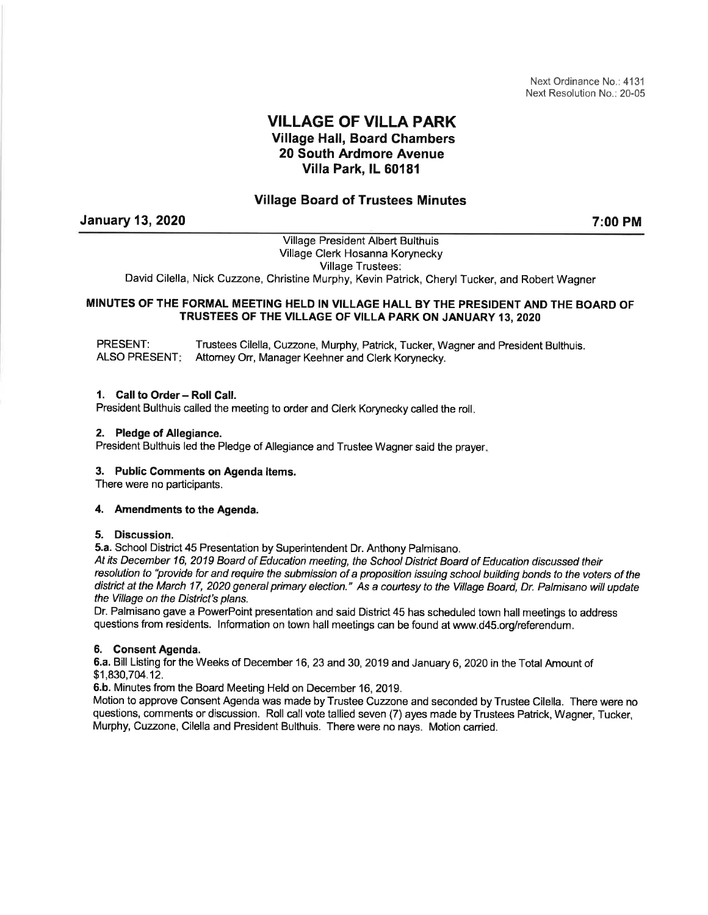Next Ordinance No.: 4131 Next Resolution No.: 20-05

# VILLAGE OF VILLA PARK Village Hall, Board Chambers 20 South Ardmore Avenue Villa Park, lL 60181

# Village Board of Trustees Minutes

January 13,2020

7:00 PM

Village President Albert Bulthuis Village Clerk Hosanna Korynecky Village Trustees: David Cilella, Nick Cuzzone, Christine Murphy, Kevin Patrick, Cheryl Tucker, and Robert Wagner

## MINUTES OF THE FORMAL MEETING HELD IN VILLAGE HALL BY THE PRESIDENT AND THE BOARD OF TRUSTEES OF THE VILLAGE OF VILLA PARK ON JANUARY 13,2020

PRESENT: ALSO PRESENT Trustees Cilella, Cuzzone, Murphy, Patrick, Tucker, Wagner and President Bulthuis. Aftomey Orr, Manager Keehner and Clerk Korynecky.

# 1. Call to Order - Roll Call.

President Bulthuis called the meeting to order and Clerk Korynecky called the roll.

## 2. Pledge of Allegiance.

President Bulthuis led the Pledge of Allegiance and Trustee Wagner said the prayer.

## 3. Public Comments on Agenda ltems.

There were no participants.

## 4. Amendments to the Agenda.

## 5. Discussion.

5.a. School District 45 Presentation by Superintendent Dr. Anthony Palmisano.

At its December 16, 2019 Board of Education meeting, the School District Board of Education discussed their resolution to "provide for and require the submission of a proposition issuing school building bonds to the voters of the district at the March 17, 2020 general primary election." As a courtesy to the Village Board, Dr. Palmisano will update the Village on the District's plans.

Dr. Palmisano gave a PowerPoint presentation and said District 45 has scheduled town hall meetings to address questions from residents. lnformation on town hall meetings can be found at www.d45.org/referendum.

## 6. Consent Agenda.

6.a. Bill Listing for the Weeks of December 16, 23 and 30, 2019 and January 6, 2020 in the Total Amount of \$1,830,7M.12.

6.b, Minutes from the Board Meeting Held on December 16,2019.

Motion to approve Consent Agenda was made by Trustee Cuzzone and seconded by Trustee Cilella. There were no questions, comments or discussion. Roll call vote tallied seven (7) ayes made by Trustees Patrick, Wagner, Tucker, Murphy, Cuzzone, Cilella and President Bulthuis. There were no nays. Motion canied.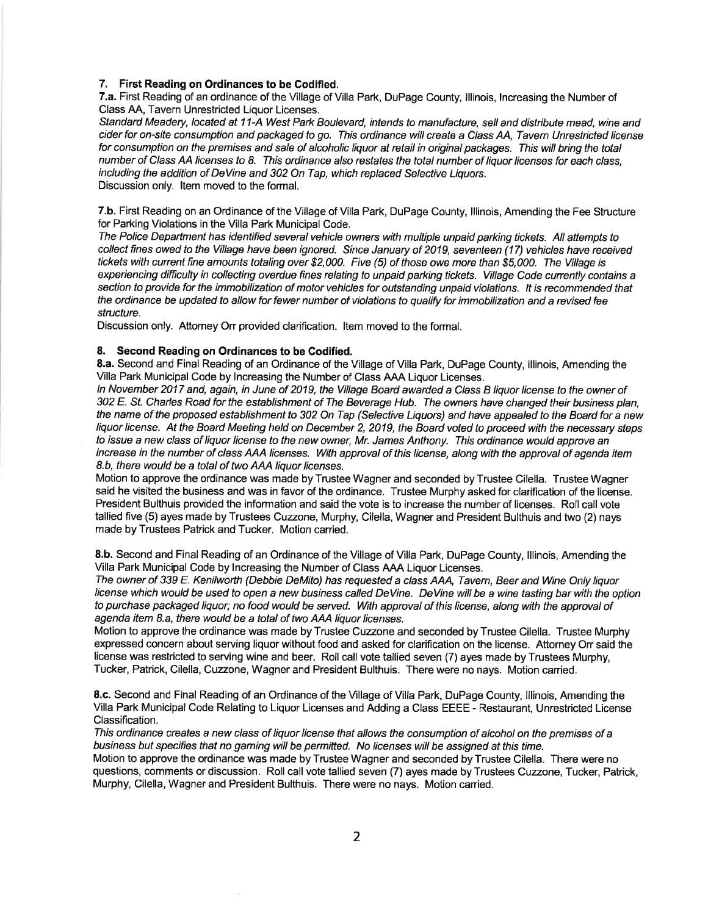#### 7. First Reading on Ordinances to be Codified.

7.a. First Reading of an ordinance of the Village of Villa Park, DuPage County, lllinois, lncreasing the Number of Class AA, Tavern Unrestricted Liquor Licenses.

Standard Meadery, located at 11-A West Park Boulevard, intends to manufacture, sell and distibute mead, wine and cider for on-site consumption and packaged to go. This ordinance will create a Class AA, Tavern Unrestricted license for consumption on the premises and sale of alcoholic liquor at retail in original packages. This will bring the total number of Class AA licenses to 8. This ordinance also restates the total number of liquor licenses for each class, including the addition of DeVine and 302 On Tap, which replaced Selective Liquors. Discussion only. ltem moved to the formal.

7.b. First Reading on an Ordinance of the Village of Villa Park, DuPage County, lllinois, Amending the Fee Structure for Parking Violations in the Villa Park Municipal Code.

The Police Department has identified several vehicle owners with multiple unpaid parking tickets. AII attempts to collect fines owed to the Village have been ignored. Since January of 2019, seventeen (17) vehicles have received tickets with current fine amounts totaling over \$2,000. Five (5) of those owe more than \$5,000. The Village is experiencing difficulty in collecting overdue fines relating to unpaid parking tickets. Village Code cunently contains a section to provide for the immobilization of motor vehicles for outstanding unpaid violations. lt is recommended that the ordinance be updated to allow for fewer number of violations to qualify for immobilization and a revised fee structure.

Discussion only. Attorney Orr provided clarification. ltem moved to the formal.

#### 8. Second Reading on Ordinances to be Godified.

8.a. Second and Final Reading of an Ordinance of the Village of Villa Park, DuPage County, lllinois, Amending the Villa Park Municipal Code by lncreasing the Number of Class AAA Liquor Licenses.

ln November 2017 and, again, in June of 2019, the Village Board awarded a C/ass B liquor license fo fhe owner of 302 E. St. Charles Road for the establishment of The Beverage Hub. The owners have changed their business plan, the name of the proposed establishment to 302 On Tap (Selective Liquors) and have appealed to the Board for a new liquor license. At the Board Meeting held on December 2, 2019, the Board voted to proceed with the necessary steps to issue a new class of liquor license to the new owner, Mr. James Anthony. This ordinance would approve an increase in the number of class AAA licenses. With approval of this license, along with the approval of agenda item 8.b, there would be a total of two AAA liquor licenses.

Motion to approve the ordinance was made by Trustee Wagner and seconded by Trustee Cilella. Trustee Wagner said he visited the business and was in favor of the ordinance. Trustee Murphy asked for clarification of the license. President Bulthuis provided the information and said the vote is to increase the number of licenses. Roll call vote tallied five (5) ayes made by Trustees Cuzzone, Murphy, Cilella, Wagner and President Bulthuis and two (2) nays made by Trustees Patrick and Tucker. Motion carried.

8.b. Second and Final Reading of an Ordinance of the Village of Villa Park, DuPage County, lllinois, Amending the Villa Park Municipal Code by lncreasing the Number of Class AAA Liquor Licenses.

The owner of 339 E. Kenilworth (Debbie DeMito) has requested a c/ass AAA, Tavem, Beer and Wine Only liquor license which would be used to open a new business called DeVine. DeVine will be a wine tasting bar with the option to purchase packaged liquor; no food would be serued. With approval of this license, along with the approval of agenda item 8.a, there would be a total of two AAA liquor licenses.

Motion to approve the ordinance was made by Trustee Cuzzone and seconded by Trustee Cilella. Trustee Murphy expressed concern about serving liquor without food and asked for clarification on the license. Attorney Orr said the license was restricted to serving wine and beer. Roll call vote tallied seven (7) ayes made by Trustees Murphy, Tucker, Patrick, Cilella, Cuzzone, Wagner and President Bulthuis. There were no nays. Motion canied.

8.c. Second and Final Reading of an Ordinance of the Village of Villa Park, DuPage County, lllinois, Amending the Villa Park Municipal Code Relating to Liquor Licenses and Adding a Class EEEE - Restaurant, Unrestricted License Classification.

This ordinance creates a new class of liquor license that allows the consumption of alcohol on the premises of a business but specifies that no gaming will be permitted. No licenses will be assigned at this time.

Motion to approve the ordinance was made by Trustee Wagner and seconded by Trustee Cilella. There were no questions, comments or discussion. Roll call vote tallied seven (7) ayes made byTrustees Cuzzone, Tucker, Patrick, Murphy, Cilella, Wagner and President Bulthuis. There were no nays. Motion canied.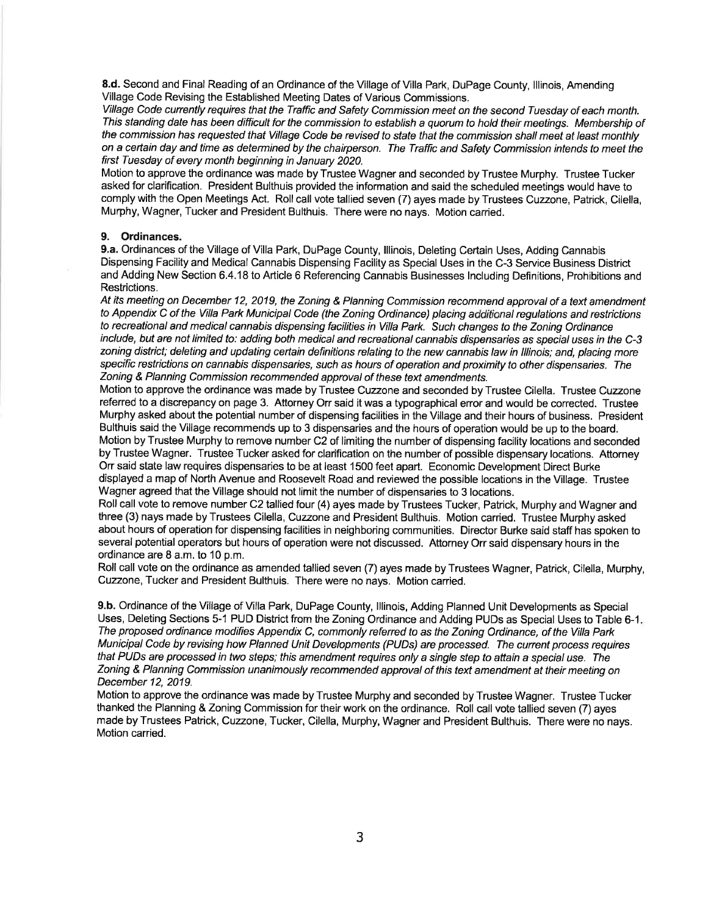8.d. Second and Final Reading of an Ordinance of the Village of Villa Park, DuPage County, lllinois, Amending Village Code Revising the Established Meeting Dates of Various Commissions.

Village Code currently requires that the Traffic and Safety Commission meet on the second Tuesday of each month. This standing date has been difficult for the commission to establish a quorum to hold their meetings. Membership of the commission has requested that Village Code be revised to state that the commission shall meet at least monthly on a certain day and time as determined by the chairperson. The Traffic and Safety Commission intends to meet the first Tuesday of every month beginning in January 2020.

Motion to approve the ordinance was made by Trustee Wagner and seconded by Trustee Murphy. Trustee Tucker asked for clarification. President Bulthuis provided the information and said the scheduled meetings would have to comply with the Open Meetings Act. Roll call vote tallied seven (7) ayes made by Trustees Cuzzone, Patrick, Cilella, Murphy, Wagner, Tucker and President Bulthuis. There were no nays. Motion canied.

#### 9. Ordinances.

9.a. Ordinances of the Village of Villa Park, DuPage County, lllinois, Deleting Certain Uses, Adding Cannabis Dispensing Facility and Medical Cannabis Dispensing Facility as Special Uses in the C-3 Service Business District and Adding New Section 6.4.18 to Article 6 Referencing Cannabis Businesses lncluding Definitions, Prohibitions and Restrictions.

At its meeting on December 12, 2019, the Zoning & Planning Commission recommend approval of a text amendment to Appendix C of the Villa Park Municipal Code (the Zoning Ordinance) placing additional regulations and restrictions to recreational and medical cannabis dispensing facilities in Villa Park. Such changes to the Zoning Ordinance include, but are not limited to: adding both medical and recreational cannabis dispensaries as special uses in the C-3 zoning district; deleting and updating certain definitions relating to the new cannabis law in lllinois; and, placing more specific restrictions on cannabis dispensaries, such as hours of operation and proximity to other dispensaries. The Zoning & Planning Commission recommended approval of these text amendments.

Motion to approve the ordinance was made by Trustee Cuzzone and seconded by Trustee Cilella. Trustee Cuzzone referred to a discrepancy on page 3. Attorney Orr said it was a typographical error and would be corrected. Trustee Murphy asked about the potential number of dispensing facilities in the Village and their hours of business. President Bulthuis said the Village recommends up to 3 dispensaries and the hours of operation would be up to the board. Motion by Trustee Murphy to remove number C2 of limiting the number of dispensing facility locations and seconded by Trustee Wagner. Trustee Tucker asked for clarification on the number of possible dispensary locations. Attorney Orr said state law requires dispensaries to be at least 1500 feet apart. Economic Development Direct Burke displayed a map of North Avenue and Roosevelt Road and reviewed the possible locations in the Village. Trustee Wagner agreed that the Village should not limit the number of dispensaries to 3 locations.

Roll call vote to remove number C2 tallied four (4) ayes made by Trustees Tucker, Patrick, Murphy and Wagner and three (3) nays made by Trustees Cilella, Cuzzone and President Bulthuis. Motion carried. Trustee Murphy asked about hours of operation for dispensing facilities in neighboring communities. Director Burke said staff has spoken to several potential operators but hours of operation were not discussed. Attorney Orr said dispensary hours in the ordinance are 8 a.m. to 10 p.m.

Roll call vote on the ordinance as amended tallied seven (7) ayes made by Trustees Wagner, Patrick, Cilella, Murphy, Cuzzone, Tucker and President Bulthuis. There were no nays. Motion caried.

9.b. Ordinance of the Village of Villa Park, DuPage County, Illinois, Adding Planned Unit Developments as Special Uses, Deleting Sections 5-1 PUD District from the Zoning Ordinance and Adding PUDs as Special Uses to Table 6-1 The proposed ordinance modifies Appendix C, commonly refened to as the Zoning Ordinance, of the Villa Park Municipal Code by revising how Planned Unit Developments (PUDs) are processed. The current process requires that PUDs are processed in two steps; this amendment requires only a single step to attain a special use. The Zoning & Planning Commission unanimously recommended approval of this text amendment at their meeting on December 12, 2019.

Motion to approve the ordinance was made by Trustee Murphy and seconded by Trustee Wagner. Trustee Tucker thanked the Planning & Zoning Commission for their work on the ordinance. Roll call vote tallied seven (7) ayes made by Trustees Patrick, Cuzzone, Tucker, Cilella, Murphy, Wagner and President Bulthuis. There were no nays. Motion carried.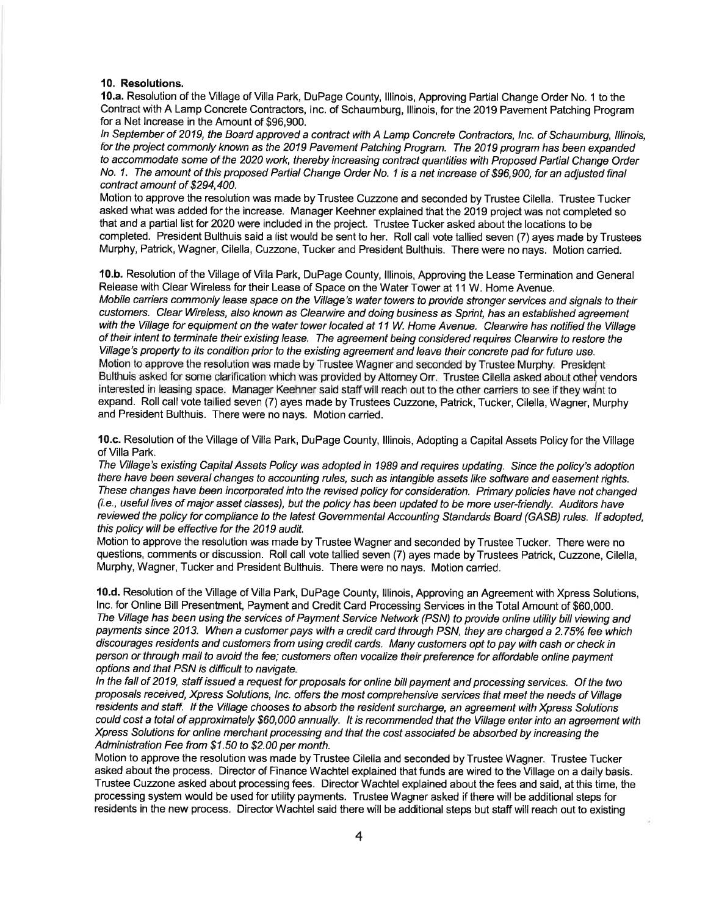#### 10. Resolutions.

10.a. Resolution of the Village of Villa Park, DuPage County, lllinois, Approving Partial Change Order No. 1 to the Contract with A Lamp Concrete Contractors, lnc. of Schaumburg, lllinois, for the 2019 Pavement Patching Program for a Net lncrease in the Amount of \$96,900.

ln September of 2019, the Board approved a contract with A Lamp Concrete Contractors, Inc. of Schaumburg, lllinois, for the proiect commonly known as the 2019 Pavement Patching Program. The 2019 program has been expanded to accommodate some of the 2020 work, thereby increasing contract quantities with Proposed Paftial Change Order No. 1. The amount of this proposed Partial Change Order No. 1 is a net increase of \$96,900, for an adjusted final contract amount of \$294,400.

Motion to approve the resolution was made by Trustee Cuzzone and seconded by Trustee Cilella. Trustee Tucker asked what was added for the increase. Manager Keehner explained that the 2019 project was not completed so that and a partial list for 2020 were included in the project. Trustee Tucker asked about the locations to be completed. President Bulthuis said a list would be sent to her. Roll call vote tallied seven (7) ayes made by Trustees Murphy, Patrick, Wagner, Cilella, Cuzzone, Tucker and President Bulthuis. There were no nays. Motion carried.

10.b. Resolution of the Village of Villa Park, DuPage County, lllinois, Approving the Lease Termination and General Release with Clear Wireless for their Lease of Space on the Water Tower at 11 W. Home Avenue. Mobile carriers commonly lease space on the Village's water towers to provide stronger seruices and signals to their customers. Clear Wireless, also known as Clearwire and doing business as Sprint, has an established agreement with the Village for equipment on the water tower located at 11 W. Home Avenue. Clearwire has notified the Village of their intent to terminate their existing lease. The agreement being considered requires Cleanuire to restore the Village's property to its condition prior to the existing agreement and leave their concrete pad for future use. Motion to approve the resolution was made by Trustee Wagner and seconded by Trustee Murphy. President Bulthuis asked for some clarification which was provided by Attorney Orr. Trustee Cilella asked about other vendors interested in leasing space. Manager Keehner said staff will reach out to the other carriers to see if they wdnt to expand. Roll call vote tallied seven (7) ayes made by Trustees Cuzzone, Patrick, Tucker, Cilella, Wagner, Murphy and President Bulthuis. There were no nays. Motion carried.

10.c. Resolution of the Village of Villa Park, DuPage County, lllinois, Adopting a Capital Assets Policy for the Village of Villa Park.

The Village's existing Capital Assets Policy was adopted in 1989 and requires updating. Since the policy's adoption there have been several changes to accounting rules, such as intangible assefs like software and easement rights. These changes have been incorporated into the revised policy for consideration. Primary policies have not changed (i.e., useful lives of major assef c/asses/, but the policy has been updated to be more user-friendly. Auditors have reviewed the policy for compliance to the latest Governmental Accounting Standards Board (GASB/ rules. lf adopted, this policy will be effective for the 2019 audit.

Motion to approve the resolution was made by Trustee Wagner and seconded by Trustee Tucker. There were no questions, comments or discussion. Roll call vote tallied seven (7) ayes made by Trustees Patrick, Cuzzone, Cilella, Murphy, Wagner, Tucker and President Bulthuis. There were no nays. Motion carried.

10.d. Resolution of the Village of Villa Park, DuPage County, lllinois, Approving an Agreement with Xpress Solutions, lnc. for Online Bill Presentment, Payment and Credit Card Processing Services in the Total Amount of \$60,000. The Village has been using the services of Payment Service Network (PSN) to provide online utility bill viewing and payments since 2013. When a customer pays with a credit card through PSN, they are charged a 2.75% fee which discourages resrdenfs and customers from using credit cards. Many customers opt to pay with cash or check in person orthrough mail to avoid the fee; customers often vocalize their preference for affordable online payment options and that PSN is difficult to navigate.

In the fall of 2019, staff issued a request for proposals for online bill payment and processing services. Of the two proposals received, Xpress Solutions, Inc. offers the most comprehensive services that meet the needs of Village residents and staff. If the Village chooses to absorb the resident surcharge, an agreement with Xpress Solutions could cost a total of approximately \$60,000 annually. lt is recommended that the Village enter into an agreement with Xpress Solutions for online merchant processing and that the cost associated be absorbed by increasing the Administration Fee from \$1.50 to \$2.00 per month.

Motion to approve the resolution was made by Trustee Cilella and seconded by Trustee Wagner. Trustee Tucker asked about the process. Director of Finance Wachtel explained that funds are wired to the Village on a daily basis. Trustee Cuzzone asked about processing fees. Director Wachtel explained about the fees and said, at this time, the processing system would be used for utility payments. Trustee Wagner asked if there will be additional steps for residents in the new process. Director Wachtel said there will be additional steps but staff will reach out to existing